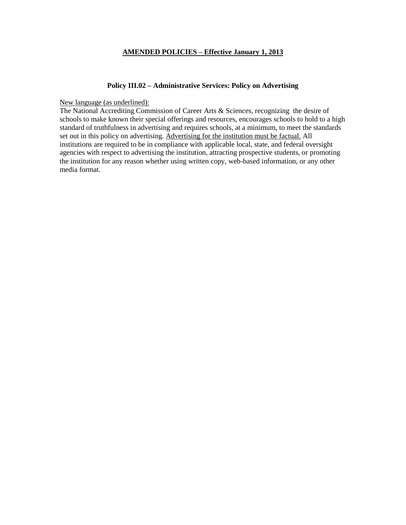## **AMENDED POLICIES – Effective January 1, 2013**

#### **Policy III.02 – Administrative Services: Policy on Advertising**

New language (as underlined):

The National Accrediting Commission of Career Arts & Sciences, recognizing the desire of schools to make known their special offerings and resources, encourages schools to hold to a high standard of truthfulness in advertising and requires schools, at a minimum, to meet the standards set out in this policy on advertising. Advertising for the institution must be factual. All institutions are required to be in compliance with applicable local, state, and federal oversight agencies with respect to advertising the institution, attracting prospective students, or promoting the institution for any reason whether using written copy, web-based information, or any other media format.